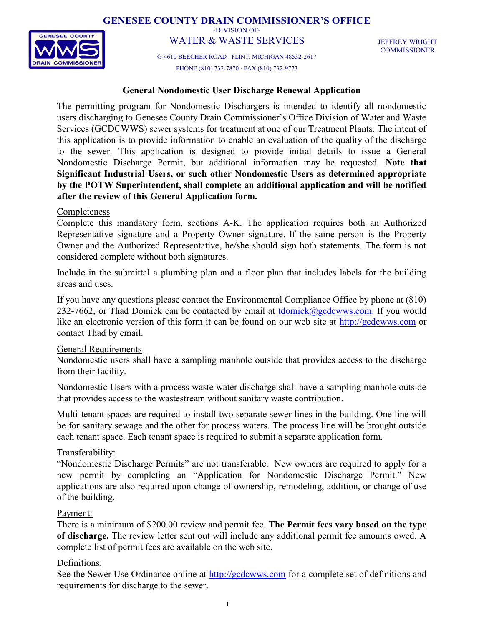GENESEE COUNTY DRAIN COMMISSIONER'S OFFICE



-DIVISION OF-WATER & WASTE SERVICES

G-4610 BEECHER ROAD FLINT, MICHIGAN 48532-2617 PHONE (810) 732-7870 FAX (810) 732-9773

JEFFREY WRIGHT **COMMISSIONER** 

#### General Nondomestic User Discharge Renewal Application

The permitting program for Nondomestic Dischargers is intended to identify all nondomestic users discharging to Genesee County Drain Commissioner's Office Division of Water and Waste Services (GCDCWWS) sewer systems for treatment at one of our Treatment Plants. The intent of this application is to provide information to enable an evaluation of the quality of the discharge to the sewer. This application is designed to provide initial details to issue a General Nondomestic Discharge Permit, but additional information may be requested. Note that Significant Industrial Users, or such other Nondomestic Users as determined appropriate by the POTW Superintendent, shall complete an additional application and will be notified after the review of this General Application form.

#### **Completeness**

Complete this mandatory form, sections A-K. The application requires both an Authorized Representative signature and a Property Owner signature. If the same person is the Property Owner and the Authorized Representative, he/she should sign both statements. The form is not considered complete without both signatures.

Include in the submittal a plumbing plan and a floor plan that includes labels for the building areas and uses.

If you have any questions please contact the Environmental Compliance Office by phone at (810) 232-7662, or Thad Domick can be contacted by email at  $\underline{tdomick}$ @gcdcwws.com. If you would like an electronic version of this form it can be found on our web site at http://gcdcwws.com or contact Thad by email.

#### General Requirements

Nondomestic users shall have a sampling manhole outside that provides access to the discharge from their facility.

Nondomestic Users with a process waste water discharge shall have a sampling manhole outside that provides access to the wastestream without sanitary waste contribution.

Multi-tenant spaces are required to install two separate sewer lines in the building. One line will be for sanitary sewage and the other for process waters. The process line will be brought outside each tenant space. Each tenant space is required to submit a separate application form.

#### Transferability:

"Nondomestic Discharge Permits" are not transferable. New owners are required to apply for a new permit by completing an "Application for Nondomestic Discharge Permit." New applications are also required upon change of ownership, remodeling, addition, or change of use of the building.

#### Payment:

There is a minimum of \$200.00 review and permit fee. The Permit fees vary based on the type of discharge. The review letter sent out will include any additional permit fee amounts owed. A complete list of permit fees are available on the web site.

#### Definitions:

See the Sewer Use Ordinance online at http://gcdcwws.com for a complete set of definitions and requirements for discharge to the sewer.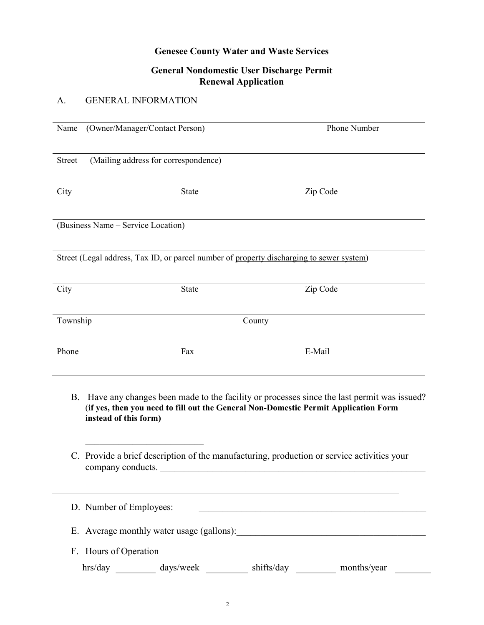### Genesee County Water and Waste Services

### General Nondomestic User Discharge Permit Renewal Application

### A. GENERAL INFORMATION

| Name                                                                                                                                                                                                            | (Owner/Manager/Contact Person)                                                                                  |  |            | Phone Number |  |
|-----------------------------------------------------------------------------------------------------------------------------------------------------------------------------------------------------------------|-----------------------------------------------------------------------------------------------------------------|--|------------|--------------|--|
| <b>Street</b>                                                                                                                                                                                                   | (Mailing address for correspondence)                                                                            |  |            |              |  |
| City                                                                                                                                                                                                            | State                                                                                                           |  |            | Zip Code     |  |
|                                                                                                                                                                                                                 | (Business Name - Service Location)                                                                              |  |            |              |  |
|                                                                                                                                                                                                                 | Street (Legal address, Tax ID, or parcel number of property discharging to sewer system)                        |  |            |              |  |
| City                                                                                                                                                                                                            | State                                                                                                           |  |            | Zip Code     |  |
|                                                                                                                                                                                                                 | Township<br>County                                                                                              |  |            |              |  |
| Phone                                                                                                                                                                                                           | Fax                                                                                                             |  |            | E-Mail       |  |
| Have any changes been made to the facility or processes since the last permit was issued?<br>B.<br>(if yes, then you need to fill out the General Non-Domestic Permit Application Form<br>instead of this form) |                                                                                                                 |  |            |              |  |
|                                                                                                                                                                                                                 | C. Provide a brief description of the manufacturing, production or service activities your<br>company conducts. |  |            |              |  |
|                                                                                                                                                                                                                 | D. Number of Employees:                                                                                         |  |            |              |  |
|                                                                                                                                                                                                                 |                                                                                                                 |  |            |              |  |
|                                                                                                                                                                                                                 | F. Hours of Operation                                                                                           |  |            |              |  |
|                                                                                                                                                                                                                 | hrs/day<br>days/week                                                                                            |  | shifts/day | months/year  |  |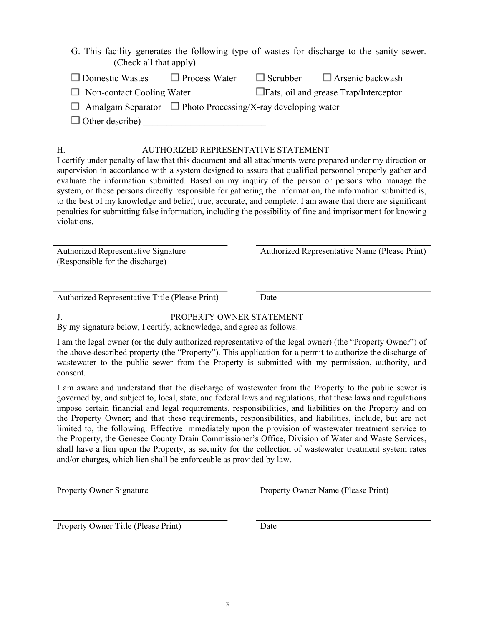| $\Box$ Domestic Wastes           |  | $\Box$ Process Water $\Box$ Scrubber $\Box$ Arsenic backwash |
|----------------------------------|--|--------------------------------------------------------------|
| $\Box$ Non-contact Cooling Water |  | $\Box$ Fats, oil and grease $Trap/Interceptor$               |

 $\Box$  Amalgam Separator  $\Box$  Photo Processing/X-ray developing water

 $\Box$  Other describe)

# H. AUTHORIZED REPRESENTATIVE STATEMENT

I certify under penalty of law that this document and all attachments were prepared under my direction or supervision in accordance with a system designed to assure that qualified personnel properly gather and evaluate the information submitted. Based on my inquiry of the person or persons who manage the system, or those persons directly responsible for gathering the information, the information submitted is, to the best of my knowledge and belief, true, accurate, and complete. I am aware that there are significant penalties for submitting false information, including the possibility of fine and imprisonment for knowing violations.

Authorized Representative Signature (Responsible for the discharge)

Authorized Representative Name (Please Print)

Authorized Representative Title (Please Print) Date

# J. PROPERTY OWNER STATEMENT

By my signature below, I certify, acknowledge, and agree as follows:

I am the legal owner (or the duly authorized representative of the legal owner) (the "Property Owner") of the above-described property (the "Property"). This application for a permit to authorize the discharge of wastewater to the public sewer from the Property is submitted with my permission, authority, and consent.

I am aware and understand that the discharge of wastewater from the Property to the public sewer is governed by, and subject to, local, state, and federal laws and regulations; that these laws and regulations impose certain financial and legal requirements, responsibilities, and liabilities on the Property and on the Property Owner; and that these requirements, responsibilities, and liabilities, include, but are not limited to, the following: Effective immediately upon the provision of wastewater treatment service to the Property, the Genesee County Drain Commissioner's Office, Division of Water and Waste Services, shall have a lien upon the Property, as security for the collection of wastewater treatment system rates and/or charges, which lien shall be enforceable as provided by law.

Property Owner Signature **Property Owner Name (Please Print)** 

Property Owner Title (Please Print) Date